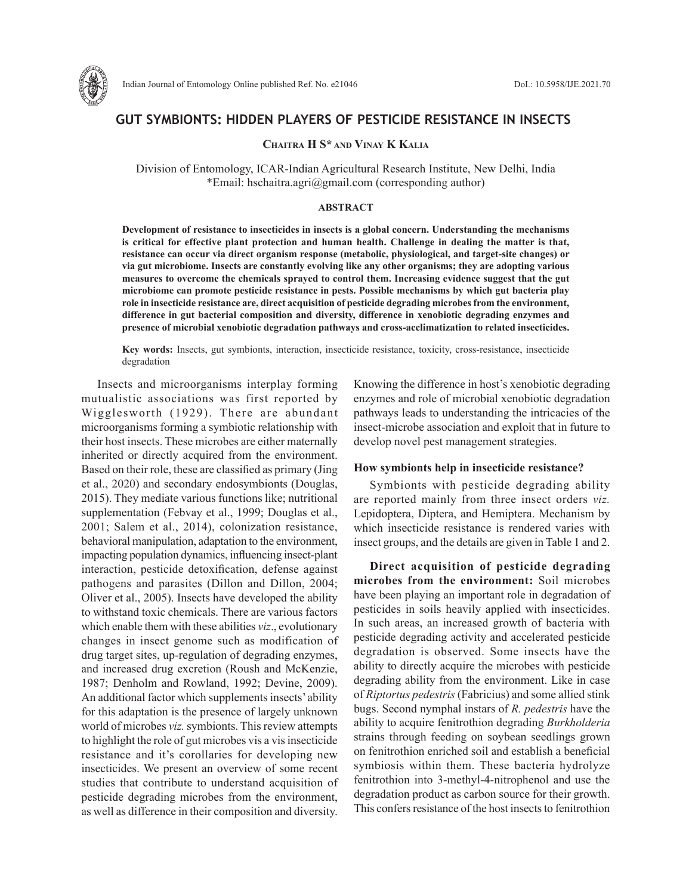

## **GUT SYMBIONTS: HIDDEN PLAYERS OF PESTICIDE RESISTANCE IN INSECTS**

### **Chaitra h S\* and Vinay K Kalia**

Division of Entomology, ICAR-Indian Agricultural Research Institute, New Delhi, India \*Email: hschaitra.agri@gmail.com (corresponding author)

#### **ABSTRACT**

**Development of resistance to insecticides in insects is a global concern. Understanding the mechanisms is critical for effective plant protection and human health. Challenge in dealing the matter is that, resistance can occur via direct organism response (metabolic, physiological, and target-site changes) or via gut microbiome. Insects are constantly evolving like any other organisms; they are adopting various measures to overcome the chemicals sprayed to control them. Increasing evidence suggest that the gut microbiome can promote pesticide resistance in pests. Possible mechanisms by which gut bacteria play role in insecticide resistance are, direct acquisition of pesticide degrading microbes from the environment, difference in gut bacterial composition and diversity, difference in xenobiotic degrading enzymes and presence of microbial xenobiotic degradation pathways and cross-acclimatization to related insecticides.**

**Key words:** Insects, gut symbionts, interaction, insecticide resistance, toxicity, cross-resistance, insecticide degradation

Insects and microorganisms interplay forming mutualistic associations was first reported by Wigglesworth (1929). There are abundant microorganisms forming a symbiotic relationship with their host insects. These microbes are either maternally inherited or directly acquired from the environment. Based on their role, these are classified as primary (Jing et al., 2020) and secondary endosymbionts (Douglas, 2015). They mediate various functions like; nutritional supplementation (Febvay et al., 1999; Douglas et al., 2001; Salem et al., 2014), colonization resistance, behavioral manipulation, adaptation to the environment, impacting population dynamics, influencing insect-plant interaction, pesticide detoxification, defense against pathogens and parasites (Dillon and Dillon, 2004; Oliver et al., 2005). Insects have developed the ability to withstand toxic chemicals. There are various factors which enable them with these abilities *viz*., evolutionary changes in insect genome such as modification of drug target sites, up-regulation of degrading enzymes, and increased drug excretion (Roush and McKenzie, 1987; Denholm and Rowland, 1992; Devine, 2009). An additional factor which supplements insects' ability for this adaptation is the presence of largely unknown world of microbes *viz.* symbionts. This review attempts to highlight the role of gut microbes vis a vis insecticide resistance and it's corollaries for developing new insecticides. We present an overview of some recent studies that contribute to understand acquisition of pesticide degrading microbes from the environment, as well as difference in their composition and diversity.

Knowing the difference in host's xenobiotic degrading enzymes and role of microbial xenobiotic degradation pathways leads to understanding the intricacies of the insect-microbe association and exploit that in future to develop novel pest management strategies.

#### **How symbionts help in insecticide resistance?**

Symbionts with pesticide degrading ability are reported mainly from three insect orders *viz.* Lepidoptera, Diptera, and Hemiptera. Mechanism by which insecticide resistance is rendered varies with insect groups, and the details are given in Table 1 and 2.

**Direct acquisition of pesticide degrading microbes from the environment:** Soil microbes have been playing an important role in degradation of pesticides in soils heavily applied with insecticides. In such areas, an increased growth of bacteria with pesticide degrading activity and accelerated pesticide degradation is observed. Some insects have the ability to directly acquire the microbes with pesticide degrading ability from the environment. Like in case of *Riptortus pedestris* (Fabricius) and some allied stink bugs. Second nymphal instars of *R. pedestris* have the ability to acquire fenitrothion degrading *Burkholderia*  strains through feeding on soybean seedlings grown on fenitrothion enriched soil and establish a beneficial symbiosis within them. These bacteria hydrolyze fenitrothion into 3-methyl-4-nitrophenol and use the degradation product as carbon source for their growth. This confers resistance of the host insects to fenitrothion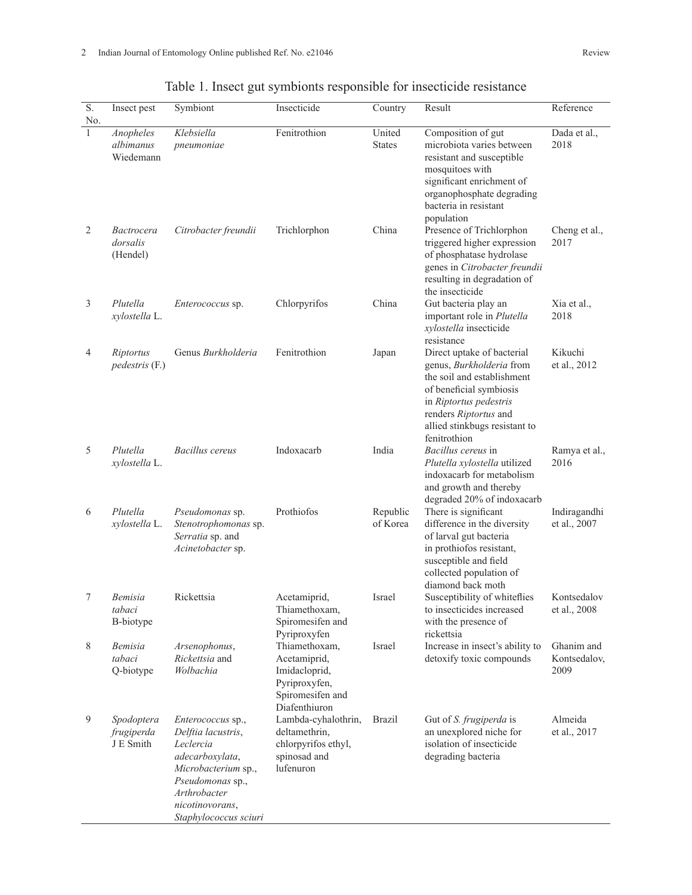| $\overline{S}$ .<br>No. | Insect pest                               | Symbiont                                                                                                                                                                              | Insecticide                                                                                          | Country                 | Result                                                                                                                                                                                                              | Reference                          |
|-------------------------|-------------------------------------------|---------------------------------------------------------------------------------------------------------------------------------------------------------------------------------------|------------------------------------------------------------------------------------------------------|-------------------------|---------------------------------------------------------------------------------------------------------------------------------------------------------------------------------------------------------------------|------------------------------------|
| 1                       | Anopheles<br>albimanus<br>Wiedemann       | Klebsiella<br>pneumoniae                                                                                                                                                              | Fenitrothion                                                                                         | United<br><b>States</b> | Composition of gut<br>microbiota varies between<br>resistant and susceptible<br>mosquitoes with<br>significant enrichment of<br>organophosphate degrading<br>bacteria in resistant<br>population                    | Dada et al.,<br>2018               |
| $\overline{2}$          | <i>Bactrocera</i><br>dorsalis<br>(Hendel) | Citrobacter freundii                                                                                                                                                                  | Trichlorphon                                                                                         | China                   | Presence of Trichlorphon<br>triggered higher expression<br>of phosphatase hydrolase<br>genes in Citrobacter freundii<br>resulting in degradation of<br>the insecticide                                              | Cheng et al.,<br>2017              |
| 3                       | Plutella<br>xylostella L.                 | <i>Enterococcus</i> sp.                                                                                                                                                               | Chlorpyrifos                                                                                         | China                   | Gut bacteria play an<br>important role in Plutella<br>xylostella insecticide<br>resistance                                                                                                                          | Xia et al.,<br>2018                |
| 4                       | Riptortus<br>pedestris (F.)               | Genus Burkholderia                                                                                                                                                                    | Fenitrothion                                                                                         | Japan                   | Direct uptake of bacterial<br>genus, Burkholderia from<br>the soil and establishment<br>of beneficial symbiosis<br>in Riptortus pedestris<br>renders Riptortus and<br>allied stinkbugs resistant to<br>fenitrothion | Kikuchi<br>et al., 2012            |
| 5                       | Plutella<br>xylostella L.                 | Bacillus cereus                                                                                                                                                                       | Indoxacarb                                                                                           | India                   | Bacillus cereus in<br>Plutella xylostella utilized<br>indoxacarb for metabolism<br>and growth and thereby<br>degraded 20% of indoxacarb                                                                             | Ramya et al.,<br>2016              |
| 6                       | Plutella<br>xylostella L.                 | Pseudomonas sp.<br>Stenotrophomonas sp.<br>Serratia sp. and<br>Acinetobacter sp.                                                                                                      | Prothiofos                                                                                           | Republic<br>of Korea    | There is significant<br>difference in the diversity<br>of larval gut bacteria<br>in prothiofos resistant,<br>susceptible and field<br>collected population of<br>diamond back moth                                  | Indiragandhi<br>et al., 2007       |
| 7                       | Bemisia<br>tabaci<br>B-biotype            | Rickettsia                                                                                                                                                                            | Acetamiprid,<br>Thiamethoxam,<br>Spiromesifen and<br>Pyriproxyfen                                    | Israel                  | Susceptibility of whiteflies<br>to insecticides increased<br>with the presence of<br>rickettsia                                                                                                                     | Kontsedalov<br>et al., 2008        |
| 8                       | <i>Bemisia</i><br>tabaci<br>Q-biotype     | Arsenophonus,<br>Rickettsia and<br>Wolbachia                                                                                                                                          | Thiamethoxam,<br>Acetamiprid,<br>Imidacloprid,<br>Pyriproxyfen,<br>Spiromesifen and<br>Diafenthiuron | Israel                  | Increase in insect's ability to<br>detoxify toxic compounds                                                                                                                                                         | Ghanim and<br>Kontsedalov,<br>2009 |
| 9                       | Spodoptera<br>frugiperda<br>J E Smith     | <i>Enterococcus</i> sp.,<br>Delftia lacustris,<br>Leclercia<br>adecarboxylata,<br>Microbacterium sp.,<br>Pseudomonas sp.,<br>Arthrobacter<br>nicotinovorans,<br>Staphylococcus sciuri | Lambda-cyhalothrin,<br>deltamethrin,<br>chlorpyrifos ethyl,<br>spinosad and<br>lufenuron             | <b>Brazil</b>           | Gut of S. frugiperda is<br>an unexplored niche for<br>isolation of insecticide<br>degrading bacteria                                                                                                                | Almeida<br>et al., 2017            |

# Table 1. Insect gut symbionts responsible for insecticide resistance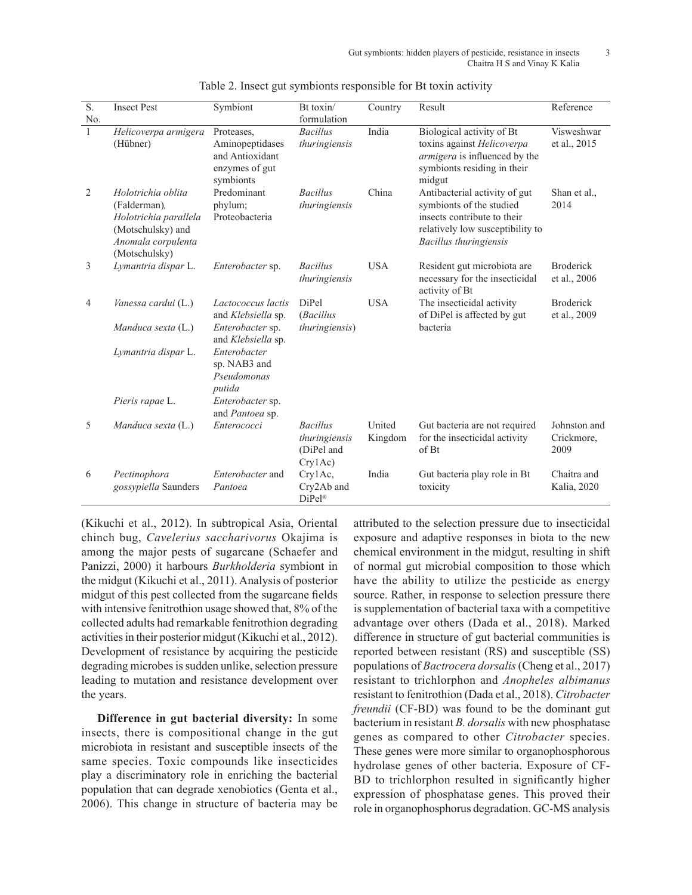| $\overline{S}$ .<br>No. | <b>Insect Pest</b>                                                                                                      | Symbiont                                                                        | Bt toxin/<br>formulation                                  | Country           | Result                                                                                                                                                 | Reference                          |
|-------------------------|-------------------------------------------------------------------------------------------------------------------------|---------------------------------------------------------------------------------|-----------------------------------------------------------|-------------------|--------------------------------------------------------------------------------------------------------------------------------------------------------|------------------------------------|
| $\mathbf{1}$            | Helicoverpa armigera<br>(Hübner)                                                                                        | Proteases,<br>Aminopeptidases<br>and Antioxidant<br>enzymes of gut<br>symbionts | <b>Bacillus</b><br>thuringiensis                          | India             | Biological activity of Bt<br>toxins against Helicoverpa<br>armigera is influenced by the<br>symbionts residing in their<br>midgut                      | Visweshwar<br>et al., 2015         |
| 2                       | Holotrichia oblita<br>(Falderman),<br>Holotrichia parallela<br>(Motschulsky) and<br>Anomala corpulenta<br>(Motschulsky) | Predominant<br>phylum;<br>Proteobacteria                                        | <b>Bacillus</b><br>thuringiensis                          | China             | Antibacterial activity of gut<br>symbionts of the studied<br>insects contribute to their<br>relatively low susceptibility to<br>Bacillus thuringiensis | Shan et al.,<br>2014               |
| 3                       | Lymantria dispar L.                                                                                                     | Enterobacter sp.                                                                | <b>Bacillus</b><br>thuringiensis                          | <b>USA</b>        | Resident gut microbiota are<br>necessary for the insecticidal<br>activity of Bt                                                                        | <b>Broderick</b><br>et al., 2006   |
| 4                       | Vanessa cardui (L.)                                                                                                     | Lactococcus lactis<br>and Klebsiella sp.                                        | <b>DiPel</b><br>(Bacillus                                 | <b>USA</b>        | The insecticidal activity<br>of DiPel is affected by gut                                                                                               | <b>Broderick</b><br>et al., 2009   |
|                         | Manduca sexta (L.)                                                                                                      | Enterobacter sp.<br>and Klebsiella sp.                                          | thuringiensis)                                            |                   | bacteria                                                                                                                                               |                                    |
|                         | Lymantria dispar L.                                                                                                     | Enterobacter<br>sp. NAB3 and<br>Pseudomonas<br>putida                           |                                                           |                   |                                                                                                                                                        |                                    |
|                         | Pieris rapae L.                                                                                                         | Enterobacter sp.<br>and Pantoea sp.                                             |                                                           |                   |                                                                                                                                                        |                                    |
| 5                       | Manduca sexta (L.)                                                                                                      | Enterococci                                                                     | <b>Bacillus</b><br>thuringiensis<br>(DiPel and<br>Cry1Ac) | United<br>Kingdom | Gut bacteria are not required<br>for the insecticidal activity<br>of Bt                                                                                | Johnston and<br>Crickmore,<br>2009 |
| 6                       | Pectinophora<br>gossypiella Saunders                                                                                    | Enterobacter and<br>Pantoea                                                     | Cry1Ac,<br>Cry2Ab and<br>$DiPe1^{\circledR}$              | India             | Gut bacteria play role in Bt<br>toxicity                                                                                                               | Chaitra and<br>Kalia, 2020         |

Table 2. Insect gut symbionts responsible for Bt toxin activity

(Kikuchi et al., 2012). In subtropical Asia, Oriental chinch bug, *Cavelerius saccharivorus* Okajima is among the major pests of sugarcane (Schaefer and Panizzi, 2000) it harbours *Burkholderia* symbiont in the midgut (Kikuchi et al., 2011). Analysis of posterior midgut of this pest collected from the sugarcane fields with intensive fenitrothion usage showed that, 8% of the collected adults had remarkable fenitrothion degrading activities in their posterior midgut (Kikuchi et al., 2012). Development of resistance by acquiring the pesticide degrading microbes is sudden unlike, selection pressure leading to mutation and resistance development over the years.

**Difference in gut bacterial diversity:** In some insects, there is compositional change in the gut microbiota in resistant and susceptible insects of the same species. Toxic compounds like insecticides play a discriminatory role in enriching the bacterial population that can degrade xenobiotics (Genta et al., 2006). This change in structure of bacteria may be attributed to the selection pressure due to insecticidal exposure and adaptive responses in biota to the new chemical environment in the midgut, resulting in shift of normal gut microbial composition to those which have the ability to utilize the pesticide as energy source. Rather, in response to selection pressure there is supplementation of bacterial taxa with a competitive advantage over others (Dada et al., 2018). Marked difference in structure of gut bacterial communities is reported between resistant (RS) and susceptible (SS) populations of *Bactrocera dorsalis* (Cheng et al., 2017) resistant to trichlorphon and *Anopheles albimanus*  resistant to fenitrothion (Dada et al., 2018). *Citrobacter freundii* (CF-BD) was found to be the dominant gut bacterium in resistant *B. dorsalis* with new phosphatase genes as compared to other *Citrobacter* species. These genes were more similar to organophosphorous hydrolase genes of other bacteria. Exposure of CF-BD to trichlorphon resulted in significantly higher expression of phosphatase genes. This proved their role in organophosphorus degradation. GC-MS analysis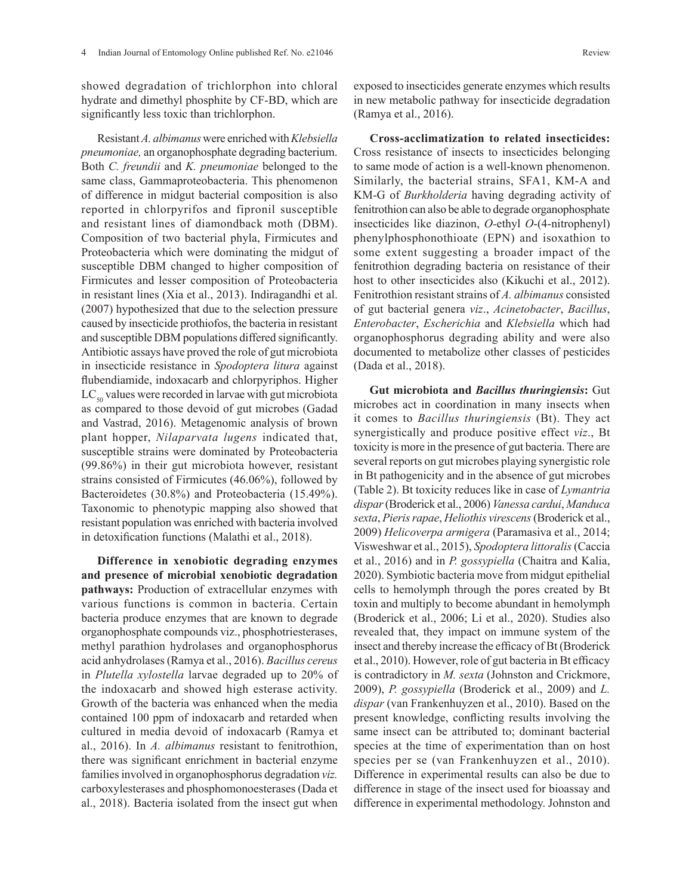showed degradation of trichlorphon into chloral hydrate and dimethyl phosphite by CF-BD, which are significantly less toxic than trichlorphon.

Resistant *A. albimanus* were enriched with *Klebsiella pneumoniae,* an organophosphate degrading bacterium. Both *C. freundii* and *K. pneumoniae* belonged to the same class, Gammaproteobacteria. This phenomenon of difference in midgut bacterial composition is also reported in chlorpyrifos and fipronil susceptible and resistant lines of diamondback moth (DBM). Composition of two bacterial phyla, Firmicutes and Proteobacteria which were dominating the midgut of susceptible DBM changed to higher composition of Firmicutes and lesser composition of Proteobacteria in resistant lines (Xia et al., 2013). Indiragandhi et al. (2007) hypothesized that due to the selection pressure caused by insecticide prothiofos, the bacteria in resistant and susceptible DBM populations differed significantly. Antibiotic assays have proved the role of gut microbiota in insecticide resistance in *Spodoptera litura* against flubendiamide, indoxacarb and chlorpyriphos. Higher  $LC_{so}$  values were recorded in larvae with gut microbiota as compared to those devoid of gut microbes (Gadad and Vastrad, 2016). Metagenomic analysis of brown plant hopper, *Nilaparvata lugens* indicated that, susceptible strains were dominated by Proteobacteria (99.86%) in their gut microbiota however, resistant strains consisted of Firmicutes (46.06%), followed by Bacteroidetes (30.8%) and Proteobacteria (15.49%). Taxonomic to phenotypic mapping also showed that resistant population was enriched with bacteria involved in detoxification functions (Malathi et al., 2018).

**Difference in xenobiotic degrading enzymes and presence of microbial xenobiotic degradation pathways:** Production of extracellular enzymes with various functions is common in bacteria. Certain bacteria produce enzymes that are known to degrade organophosphate compounds viz., phosphotriesterases, methyl parathion hydrolases and organophosphorus acid anhydrolases (Ramya et al., 2016). *Bacillus cereus*  in *Plutella xylostella* larvae degraded up to 20% of the indoxacarb and showed high esterase activity. Growth of the bacteria was enhanced when the media contained 100 ppm of indoxacarb and retarded when cultured in media devoid of indoxacarb (Ramya et al., 2016). In *A. albimanus* resistant to fenitrothion, there was significant enrichment in bacterial enzyme families involved in organophosphorus degradation *viz.* carboxylesterases and phosphomonoesterases (Dada et al., 2018). Bacteria isolated from the insect gut when

exposed to insecticides generate enzymes which results in new metabolic pathway for insecticide degradation (Ramya et al., 2016).

**Cross-acclimatization to related insecticides:**  Cross resistance of insects to insecticides belonging to same mode of action is a well-known phenomenon. Similarly, the bacterial strains, SFA1, KM-A and KM-G of *Burkholderia* having degrading activity of fenitrothion can also be able to degrade organophosphate insecticides like diazinon, *O-*ethyl *O*-(4-nitrophenyl) phenylphosphonothioate (EPN) and isoxathion to some extent suggesting a broader impact of the fenitrothion degrading bacteria on resistance of their host to other insecticides also (Kikuchi et al., 2012). Fenitrothion resistant strains of *A. albimanus* consisted of gut bacterial genera *viz*., *Acinetobacter*, *Bacillus*, *Enterobacter*, *Escherichia* and *Klebsiella* which had organophosphorus degrading ability and were also documented to metabolize other classes of pesticides (Dada et al., 2018).

**Gut microbiota and** *Bacillus thuringiensis***:** Gut microbes act in coordination in many insects when it comes to *Bacillus thuringiensis* (Bt). They act synergistically and produce positive effect *viz*., Bt toxicity is more in the presence of gut bacteria. There are several reports on gut microbes playing synergistic role in Bt pathogenicity and in the absence of gut microbes (Table 2). Bt toxicity reduces like in case of *Lymantria dispar* (Broderick et al., 2006) *Vanessa cardui*, *Manduca sexta*, *Pieris rapae*, *Heliothis virescens* (Broderick et al., 2009) *Helicoverpa armigera* (Paramasiva et al., 2014; Visweshwar et al., 2015), *Spodoptera littoralis* (Caccia et al., 2016) and in *P. gossypiella* (Chaitra and Kalia, 2020). Symbiotic bacteria move from midgut epithelial cells to hemolymph through the pores created by Bt toxin and multiply to become abundant in hemolymph (Broderick et al., 2006; Li et al., 2020). Studies also revealed that, they impact on immune system of the insect and thereby increase the efficacy of Bt (Broderick et al., 2010). However, role of gut bacteria in Bt efficacy is contradictory in *M. sexta* (Johnston and Crickmore, 2009), *P. gossypiella* (Broderick et al., 2009) and *L. dispar* (van Frankenhuyzen et al., 2010). Based on the present knowledge, conflicting results involving the same insect can be attributed to; dominant bacterial species at the time of experimentation than on host species per se (van Frankenhuyzen et al., 2010). Difference in experimental results can also be due to difference in stage of the insect used for bioassay and difference in experimental methodology. Johnston and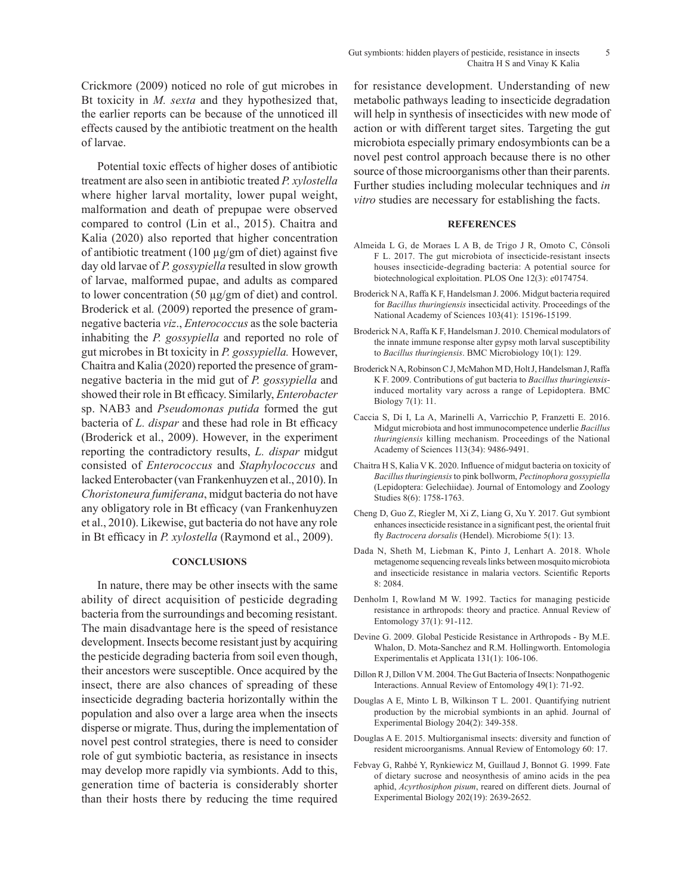Crickmore (2009) noticed no role of gut microbes in Bt toxicity in *M. sexta* and they hypothesized that, the earlier reports can be because of the unnoticed ill effects caused by the antibiotic treatment on the health of larvae.

Potential toxic effects of higher doses of antibiotic treatment are also seen in antibiotic treated *P. xylostella*  where higher larval mortality, lower pupal weight, malformation and death of prepupae were observed compared to control (Lin et al., 2015). Chaitra and Kalia (2020) also reported that higher concentration of antibiotic treatment  $(100 \mu g/gm)$  of diet) against five day old larvae of *P. gossypiella* resulted in slow growth of larvae, malformed pupae, and adults as compared to lower concentration (50 µg/gm of diet) and control. Broderick et al.  $(2009)$  reported the presence of gramnegative bacteria *viz*., *Enterococcus* as the sole bacteria inhabiting the *P. gossypiella* and reported no role of gut microbes in Bt toxicity in *P. gossypiella.* However, Chaitra and Kalia (2020) reported the presence of gramnegative bacteria in the mid gut of *P. gossypiella* and showed their role in Bt efficacy. Similarly, *Enterobacter*  sp. NAB3 and *Pseudomonas putida* formed the gut bacteria of *L. dispar* and these had role in Bt efficacy (Broderick et al., 2009). However, in the experiment reporting the contradictory results, *L. dispar* midgut consisted of *Enterococcus* and *Staphylococcus* and lacked Enterobacter (van Frankenhuyzen et al., 2010). In *Choristoneura fumiferana*, midgut bacteria do not have any obligatory role in Bt efficacy (van Frankenhuyzen et al., 2010). Likewise, gut bacteria do not have any role in Bt efficacy in *P. xylostella* (Raymond et al., 2009).

## **CONCLUSIONS**

In nature, there may be other insects with the same ability of direct acquisition of pesticide degrading bacteria from the surroundings and becoming resistant. The main disadvantage here is the speed of resistance development. Insects become resistant just by acquiring the pesticide degrading bacteria from soil even though, their ancestors were susceptible. Once acquired by the insect, there are also chances of spreading of these insecticide degrading bacteria horizontally within the population and also over a large area when the insects disperse or migrate. Thus, during the implementation of novel pest control strategies, there is need to consider role of gut symbiotic bacteria, as resistance in insects may develop more rapidly via symbionts. Add to this, generation time of bacteria is considerably shorter than their hosts there by reducing the time required for resistance development. Understanding of new metabolic pathways leading to insecticide degradation will help in synthesis of insecticides with new mode of action or with different target sites. Targeting the gut microbiota especially primary endosymbionts can be a novel pest control approach because there is no other source of those microorganisms other than their parents. Further studies including molecular techniques and *in vitro* studies are necessary for establishing the facts.

#### **REFERENCES**

- Almeida L G, de Moraes L A B, de Trigo J R, Omoto C, Cônsoli F L. 2017. The gut microbiota of insecticide-resistant insects houses insecticide-degrading bacteria: A potential source for biotechnological exploitation. PLOS One 12(3): e0174754.
- Broderick N A, Raffa K F, Handelsman J. 2006. Midgut bacteria required for *Bacillus thuringiensis* insecticidal activity. Proceedings of the National Academy of Sciences 103(41): 15196-15199.
- Broderick N A, Raffa K F, Handelsman J. 2010. Chemical modulators of the innate immune response alter gypsy moth larval susceptibility to *Bacillus thuringiensis*. BMC Microbiology 10(1): 129.
- Broderick N A, Robinson C J, McMahon M D, Holt J, Handelsman J, Raffa K F. 2009. Contributions of gut bacteria to *Bacillus thuringiensis*induced mortality vary across a range of Lepidoptera. BMC Biology 7(1): 11.
- Caccia S, Di I, La A, Marinelli A, Varricchio P, Franzetti E. 2016. Midgut microbiota and host immunocompetence underlie *Bacillus thuringiensis* killing mechanism. Proceedings of the National Academy of Sciences 113(34): 9486-9491.
- Chaitra H S, Kalia V K. 2020. Influence of midgut bacteria on toxicity of *Bacillus thuringiensis* to pink bollworm, *Pectinophora gossypiella* (Lepidoptera: Gelechiidae). Journal of Entomology and Zoology Studies 8(6): 1758-1763.
- Cheng D, Guo Z, Riegler M, Xi Z, Liang G, Xu Y. 2017. Gut symbiont enhances insecticide resistance in a significant pest, the oriental fruit fly *Bactrocera dorsalis* (Hendel). Microbiome 5(1): 13.
- Dada N, Sheth M, Liebman K, Pinto J, Lenhart A. 2018. Whole metagenome sequencing reveals links between mosquito microbiota and insecticide resistance in malaria vectors. Scientific Reports 8: 2084.
- Denholm I, Rowland M W. 1992. Tactics for managing pesticide resistance in arthropods: theory and practice. Annual Review of Entomology 37(1): 91-112.
- Devine G. 2009. Global Pesticide Resistance in Arthropods By M.E. Whalon, D. Mota-Sanchez and R.M. Hollingworth. Entomologia Experimentalis et Applicata 131(1): 106-106.
- Dillon R J, Dillon V M. 2004. The Gut Bacteria of Insects: Nonpathogenic Interactions. Annual Review of Entomology 49(1): 71-92.
- Douglas A E, Minto L B, Wilkinson T L. 2001. Quantifying nutrient production by the microbial symbionts in an aphid. Journal of Experimental Biology 204(2): 349-358.
- Douglas A E. 2015. Multiorganismal insects: diversity and function of resident microorganisms. Annual Review of Entomology 60: 17.
- Febvay G, Rahbé Y, Rynkiewicz M, Guillaud J, Bonnot G. 1999. Fate of dietary sucrose and neosynthesis of amino acids in the pea aphid, *Acyrthosiphon pisum*, reared on different diets. Journal of Experimental Biology 202(19): 2639-2652.